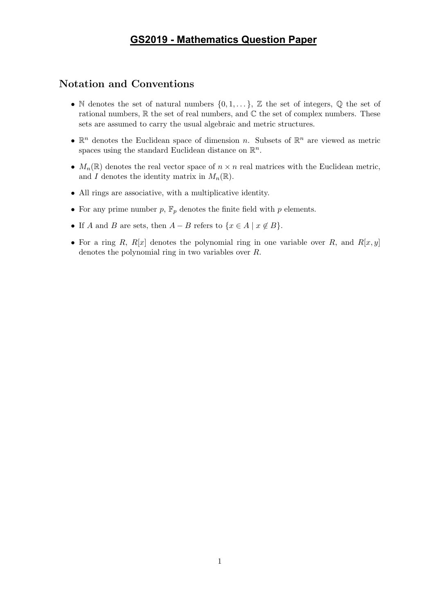## **GS2019 - Mathematics Question Paper**

## Notation and Conventions

- N denotes the set of natural numbers  $\{0, 1, \ldots\}$ , Z the set of integers, Q the set of rational numbers,  $\mathbb R$  the set of real numbers, and  $\mathbb C$  the set of complex numbers. These sets are assumed to carry the usual algebraic and metric structures.
- $\mathbb{R}^n$  denotes the Euclidean space of dimension n. Subsets of  $\mathbb{R}^n$  are viewed as metric spaces using the standard Euclidean distance on  $\mathbb{R}^n$ .
- $M_n(\mathbb{R})$  denotes the real vector space of  $n \times n$  real matrices with the Euclidean metric, and I denotes the identity matrix in  $M_n(\mathbb{R})$ .
- All rings are associative, with a multiplicative identity.
- For any prime number  $p$ ,  $\mathbb{F}_p$  denotes the finite field with  $p$  elements.
- If A and B are sets, then  $A B$  refers to  $\{x \in A \mid x \notin B\}$ .
- For a ring R,  $R[x]$  denotes the polynomial ring in one variable over R, and  $R[x, y]$ denotes the polynomial ring in two variables over R.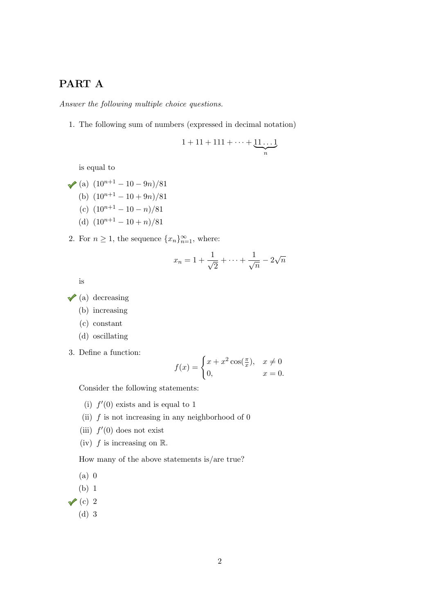## PART A

Answer the following multiple choice questions.

1. The following sum of numbers (expressed in decimal notation)

$$
1+11+111+\cdots+\underbrace{11\ldots1}_{n}
$$

is equal to

- (a)  $(10^{n+1} 10 9n)/81$ (b)  $(10^{n+1} - 10 + 9n)/81$ (c)  $(10^{n+1} - 10 - n)/81$ (d)  $(10^{n+1} - 10 + n)/81$
- 2. For  $n \geq 1$ , the sequence  $\{x_n\}_{n=1}^{\infty}$ , where:

$$
x_n = 1 + \frac{1}{\sqrt{2}} + \dots + \frac{1}{\sqrt{n}} - 2\sqrt{n}
$$

is

- $\sqrt{a}$  (a) decreasing
	- (b) increasing
	- (c) constant
	- (d) oscillating
- 3. Define a function:

$$
f(x) = \begin{cases} x + x^2 \cos(\frac{\pi}{x}), & x \neq 0 \\ 0, & x = 0. \end{cases}
$$

Consider the following statements:

- (i)  $f'(0)$  exists and is equal to 1
- (ii)  $f$  is not increasing in any neighborhood of  $0$
- (iii)  $f'(0)$  does not exist
- (iv)  $f$  is increasing on  $\mathbb{R}$ .

How many of the above statements is/are true?

(a) 0

- (b) 1
- $\sqrt{\left(c\right)}$  2
	- (d) 3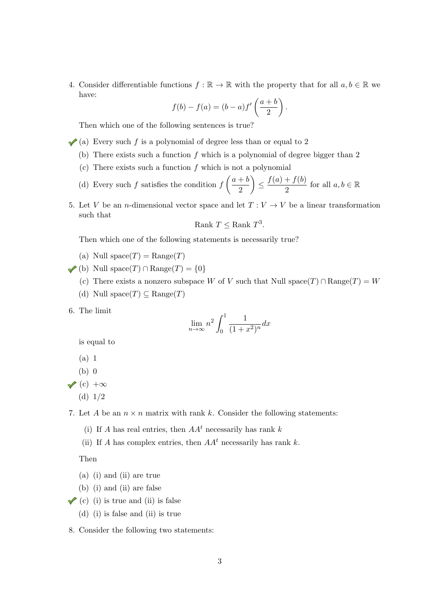4. Consider differentiable functions  $f : \mathbb{R} \to \mathbb{R}$  with the property that for all  $a, b \in \mathbb{R}$  we have:

$$
f(b) - f(a) = (b - a)f'\left(\frac{a+b}{2}\right).
$$

Then which one of the following sentences is true?

- (a) Every such f is a polynomial of degree less than or equal to 2
	- (b) There exists such a function  $f$  which is a polynomial of degree bigger than 2
	- (c) There exists such a function  $f$  which is not a polynomial
	- (d) Every such f satisfies the condition  $f\left(\frac{a+b}{2}\right)$ 2  $\bigg\} \leq \frac{f(a)+f(b)}{2}$  $\frac{f + J(v)}{2}$  for all  $a, b \in \mathbb{R}$
- 5. Let V be an *n*-dimensional vector space and let  $T: V \to V$  be a linear transformation such that

Rank 
$$
T \leq
$$
 Rank  $T^3$ .

Then which one of the following statements is necessarily true?

- (a) Null space $(T) = \text{Range}(T)$
- (b) Null space(T) ∩ Range(T) = {0}
	- (c) There exists a nonzero subspace W of V such that Null space(T) ∩ Range(T) = W
	- (d) Null space $(T) \subseteq \text{Range}(T)$
- 6. The limit

$$
\lim_{n \to \infty} n^2 \int_0^1 \frac{1}{(1+x^2)^n} dx
$$

is equal to

- (a) 1
- (b) 0
- $\sqrt{\frac{c}{c}}$  +∞
	- (d) 1/2

7. Let A be an  $n \times n$  matrix with rank k. Consider the following statements:

- (i) If A has real entries, then  $AA<sup>t</sup>$  necessarily has rank k
- (ii) If A has complex entries, then  $AA<sup>t</sup>$  necessarily has rank k.

Then

- (a) (i) and (ii) are true
- (b) (i) and (ii) are false
- $\checkmark$  (c) (i) is true and (ii) is false
	- (d) (i) is false and (ii) is true
- 8. Consider the following two statements: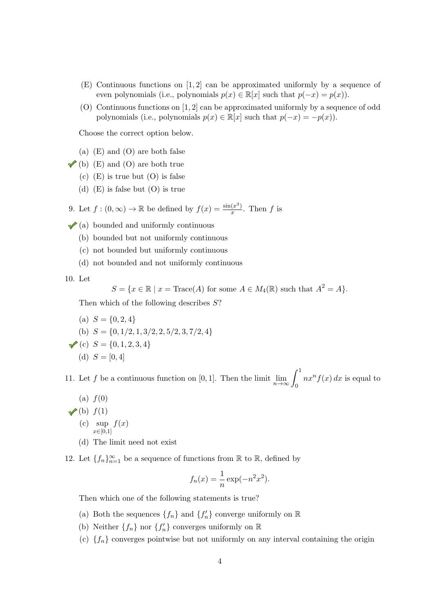- (E) Continuous functions on [1, 2] can be approximated uniformly by a sequence of even polynomials (i.e., polynomials  $p(x) \in \mathbb{R}[x]$  such that  $p(-x) = p(x)$ ).
- (O) Continuous functions on [1, 2] can be approximated uniformly by a sequence of odd polynomials (i.e., polynomials  $p(x) \in \mathbb{R}[x]$  such that  $p(-x) = -p(x)$ ).

Choose the correct option below.

- (a) (E) and (O) are both false
- $\checkmark$  (b) (E) and (O) are both true
	- $(c)$  (E) is true but  $(O)$  is false
	- (d)  $(E)$  is false but  $(O)$  is true
- 9. Let  $f:(0,\infty)\to\mathbb{R}$  be defined by  $f(x)=\frac{\sin(x^3)}{x}$  $\frac{(x^*)}{x}$ . Then f is
- $\checkmark$  (a) bounded and uniformly continuous
	- (b) bounded but not uniformly continuous
	- (c) not bounded but uniformly continuous
	- (d) not bounded and not uniformly continuous

10. Let

$$
S = \{ x \in \mathbb{R} \mid x = \text{Trace}(A) \text{ for some } A \in M_4(\mathbb{R}) \text{ such that } A^2 = A \}.
$$

Then which of the following describes S?

(a)  $S = \{0, 2, 4\}$ (b)  $S = \{0, 1/2, 1, 3/2, 2, 5/2, 3, 7/2, 4\}$ (c)  $S = \{0, 1, 2, 3, 4\}$ (d)  $S = [0, 4]$ 

11. Let f be a continuous function on [0, 1]. Then the limit  $\lim_{n\to\infty}\int_0^1$  $nx^n f(x) dx$  is equal to

- $(a) f(0)$
- $\checkmark$ (b)  $f(1)$ (c) sup  $f(x)$  $x \in [0,1]$ 
	- (d) The limit need not exist
- 12. Let  $\{f_n\}_{n=1}^{\infty}$  be a sequence of functions from  $\mathbb R$  to  $\mathbb R$ , defined by

$$
f_n(x) = \frac{1}{n} \exp(-n^2 x^2).
$$

Then which one of the following statements is true?

- (a) Both the sequences  $\{f_n\}$  and  $\{f'_n\}$  converge uniformly on  $\mathbb R$
- (b) Neither  $\{f_n\}$  nor  $\{f'_n\}$  converges uniformly on  $\mathbb R$
- (c)  ${f_n}$  converges pointwise but not uniformly on any interval containing the origin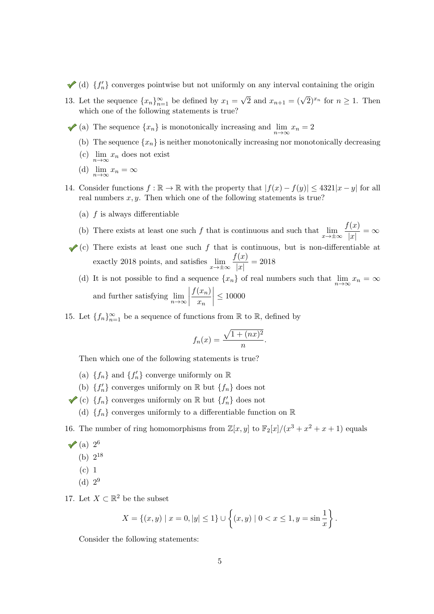(d)  ${f'_n}$  converges pointwise but not uniformly on any interval containing the origin

- 13. Let the sequence  ${x_n}_{n=1}^{\infty}$  be defined by  $x_1 =$  $\sqrt{2}$  and  $x_{n+1} = (\sqrt{2})^{x_n}$  for  $n \ge 1$ . Then which one of the following statements is true?
	- (a) The sequence  $\{x_n\}$  is monotonically increasing and  $\lim_{n\to\infty}x_n=2$ 
		- (b) The sequence  $\{x_n\}$  is neither monotonically increasing nor monotonically decreasing
		- (c)  $\lim_{n\to\infty}x_n$  does not exist
		- (d)  $\lim_{n\to\infty}x_n=\infty$
- 14. Consider functions  $f : \mathbb{R} \to \mathbb{R}$  with the property that  $|f(x) f(y)| \leq 4321|x y|$  for all real numbers  $x, y$ . Then which one of the following statements is true?
	- (a)  $f$  is always differentiable
	- (b) There exists at least one such f that is continuous and such that  $\lim_{x \to \pm \infty} \frac{f(x)}{|x|}$  $\frac{d^{(x)}}{|x|} = \infty$
	- $\checkmark$  (c) There exists at least one such f that is continuous, but is non-differentiable at exactly 2018 points, and satisfies  $\lim_{x \to \pm \infty} \frac{f(x)}{|x|}$  $\frac{d^{(x)}}{|x|} = 2018$ 
		- (d) It is not possible to find a sequence  $\{x_n\}$  of real numbers such that  $\lim_{n\to\infty}x_n = \infty$ and further satisfying  $\lim_{n\to\infty}$  $f(x_n)$  $\bar{x}_n$  $\begin{array}{c} \begin{array}{c} \begin{array}{c} \end{array} \\ \begin{array}{c} \end{array} \end{array} \end{array}$  $\leq 10000$
- 15. Let  ${f_n}_{n=1}^{\infty}$  be a sequence of functions from  $\mathbb R$  to  $\mathbb R$ , defined by

$$
f_n(x) = \frac{\sqrt{1 + (nx)^2}}{n}.
$$

Then which one of the following statements is true?

- (a)  ${f_n}$  and  ${f'_n}$  converge uniformly on  $\mathbb R$
- (b)  ${f'_n}$  converges uniformly on R but  ${f_n}$  does not
- (c)  $\{f_n\}$  converges uniformly on  $\mathbb R$  but  $\{f'_n\}$  does not
	- (d)  ${f_n}$  converges uniformly to a differentiable function on R

16. The number of ring homomorphisms from  $\mathbb{Z}[x, y]$  to  $\mathbb{F}_2[x]/(x^3 + x^2 + x + 1)$  equals

- (a) 2 6
	- (b)  $2^{18}$
	- (c) 1
	- (d)  $2^9$
- 17. Let  $X \subset \mathbb{R}^2$  be the subset

$$
X = \{(x, y) \mid x = 0, |y| \le 1\} \cup \left\{(x, y) \mid 0 < x \le 1, y = \sin \frac{1}{x}\right\}.
$$

Consider the following statements: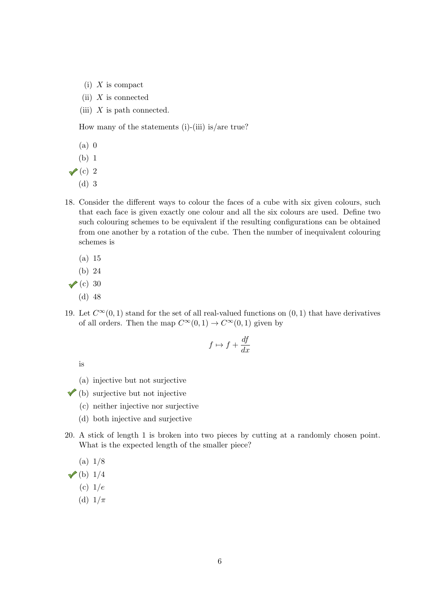- $(i)$  X is compact
- (ii)  $X$  is connected
- (iii)  $X$  is path connected.

How many of the statements  $(i)$ - $(iii)$  is/are true?

- (a) 0
- (b) 1
- $\vee$  (c) 2
	- (d) 3
- 18. Consider the different ways to colour the faces of a cube with six given colours, such that each face is given exactly one colour and all the six colours are used. Define two such colouring schemes to be equivalent if the resulting configurations can be obtained from one another by a rotation of the cube. Then the number of inequivalent colouring schemes is
	- (a) 15
	- (b) 24
- $\checkmark$  (c) 30
	- (d) 48
- 19. Let  $C^{\infty}(0, 1)$  stand for the set of all real-valued functions on  $(0, 1)$  that have derivatives of all orders. Then the map  $C^{\infty}(0, 1) \rightarrow C^{\infty}(0, 1)$  given by

$$
f \mapsto f + \frac{df}{dx}
$$

is

- (a) injective but not surjective
- $\checkmark$  (b) surjective but not injective
	- (c) neither injective nor surjective
	- (d) both injective and surjective
- 20. A stick of length 1 is broken into two pieces by cutting at a randomly chosen point. What is the expected length of the smaller piece?

(a) 1/8

 $\checkmark$ (b) 1/4

- (c)  $1/e$
- (d)  $1/\pi$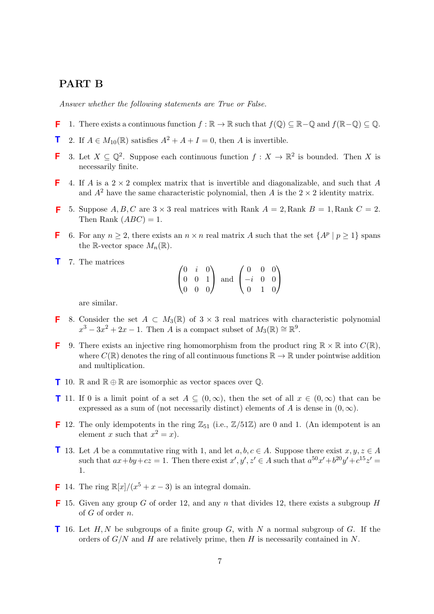## PART B

Answer whether the following statements are True or False.

- 1. There exists a continuous function  $f : \mathbb{R} \to \mathbb{R}$  such that  $f(\mathbb{Q}) \subset \mathbb{R} \mathbb{Q}$  and  $f(\mathbb{R} \mathbb{Q}) \subset \mathbb{Q}$ . **F**
- 2. If  $A \in M_{10}(\mathbb{R})$  satisfies  $A^2 + A + I = 0$ , then A is invertible. **T**
- 3. Let  $X \subseteq \mathbb{Q}^2$ . Suppose each continuous function  $f : X \to \mathbb{R}^2$  is bounded. Then X is necessarily finite. **F**
- 4. If A is a  $2 \times 2$  complex matrix that is invertible and diagonalizable, and such that A and  $A^2$  have the same characteristic polynomial, then A is the  $2 \times 2$  identity matrix. **F**
- 5. Suppose  $A, B, C$  are  $3 \times 3$  real matrices with Rank  $A = 2$ , Rank  $B = 1$ , Rank  $C = 2$ . Then Rank  $(ABC) = 1$ . **F**
- 6. For any  $n \geq 2$ , there exists an  $n \times n$  real matrix A such that the set  $\{A^p \mid p \geq 1\}$  spans the R-vector space  $M_n(\mathbb{R})$ . **F**
- 7. The matrices **T**

 $\sqrt{ }$  $\overline{1}$  $0 \quad i \quad 0$ 0 0 1 0 0 0  $\setminus$  and  $\sqrt{ }$  $\overline{1}$ 0 0 0  $-i$  0 0 0 1 0  $\setminus$  $\overline{ }$ 

are similar.

- 8. Consider the set  $A \subset M_3(\mathbb{R})$  of  $3 \times 3$  real matrices with characteristic polynomial  $x^3 - 3x^2 + 2x - 1$ . Then A is a compact subset of  $M_3(\mathbb{R}) \cong \mathbb{R}^9$ . **F**
- 9. There exists an injective ring homomorphism from the product ring  $\mathbb{R} \times \mathbb{R}$  into  $C(\mathbb{R})$ , where  $C(\mathbb{R})$  denotes the ring of all continuous functions  $\mathbb{R} \to \mathbb{R}$  under pointwise addition and multiplication. **F**
- **T** 10. ℝ and ℝ ⊕ ℝ are isomorphic as vector spaces over ℚ.
- **T** 11. If 0 is a limit point of a set  $A \subseteq (0, \infty)$ , then the set of all  $x \in (0, \infty)$  that can be expressed as a sum of (not necessarily distinct) elements of A is dense in  $(0, \infty)$ .
- **F** 12. The only idempotents in the ring  $\mathbb{Z}_{51}$  (i.e.,  $\mathbb{Z}/51\mathbb{Z}$ ) are 0 and 1. (An idempotent is an element x such that  $x^2 = x$ .
- **T** 13. Let A be a commutative ring with 1, and let  $a, b, c \in A$ . Suppose there exist  $x, y, z \in A$ such that  $ax+by+cz = 1$ . Then there exist  $x', y', z' \in A$  such that  $a^{50}x'+b^{20}y'+c^{15}z' =$ 1.
- **F** 14. The ring  $\mathbb{R}[x]/(x^5 + x 3)$  is an integral domain.
- **F** 15. Given any group G of order 12, and any n that divides 12, there exists a subgroup  $H$ of  $G$  of order  $n$ .
- **1** 16. Let  $H, N$  be subgroups of a finite group  $G$ , with  $N$  a normal subgroup of  $G$ . If the orders of  $G/N$  and H are relatively prime, then H is necessarily contained in N.